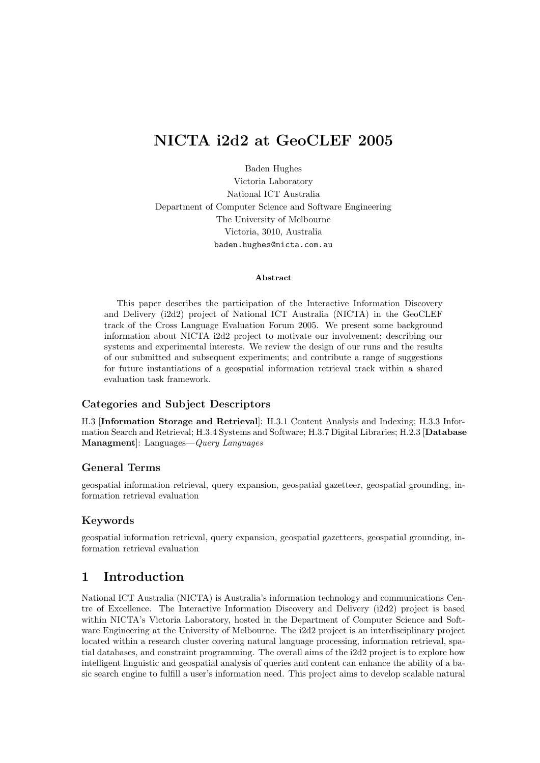# NICTA i2d2 at GeoCLEF 2005

Baden Hughes Victoria Laboratory National ICT Australia Department of Computer Science and Software Engineering The University of Melbourne Victoria, 3010, Australia baden.hughes@nicta.com.au

#### Abstract

This paper describes the participation of the Interactive Information Discovery and Delivery (i2d2) project of National ICT Australia (NICTA) in the GeoCLEF track of the Cross Language Evaluation Forum 2005. We present some background information about NICTA i2d2 project to motivate our involvement; describing our systems and experimental interests. We review the design of our runs and the results of our submitted and subsequent experiments; and contribute a range of suggestions for future instantiations of a geospatial information retrieval track within a shared evaluation task framework.

#### Categories and Subject Descriptors

H.3 [Information Storage and Retrieval]: H.3.1 Content Analysis and Indexing; H.3.3 Information Search and Retrieval; H.3.4 Systems and Software; H.3.7 Digital Libraries; H.2.3 [Database Managment]: Languages—Query Languages

#### General Terms

geospatial information retrieval, query expansion, geospatial gazetteer, geospatial grounding, information retrieval evaluation

#### Keywords

geospatial information retrieval, query expansion, geospatial gazetteers, geospatial grounding, information retrieval evaluation

# 1 Introduction

National ICT Australia (NICTA) is Australia's information technology and communications Centre of Excellence. The Interactive Information Discovery and Delivery (i2d2) project is based within NICTA's Victoria Laboratory, hosted in the Department of Computer Science and Software Engineering at the University of Melbourne. The i2d2 project is an interdisciplinary project located within a research cluster covering natural language processing, information retrieval, spatial databases, and constraint programming. The overall aims of the i2d2 project is to explore how intelligent linguistic and geospatial analysis of queries and content can enhance the ability of a basic search engine to fulfill a user's information need. This project aims to develop scalable natural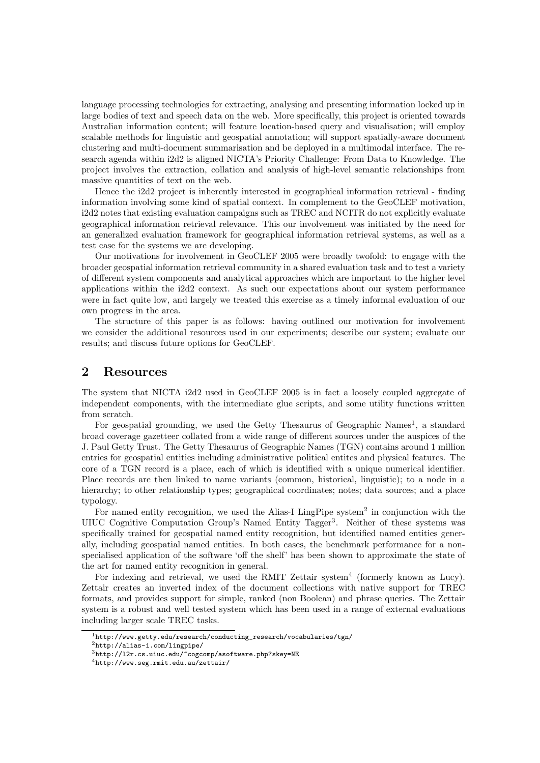language processing technologies for extracting, analysing and presenting information locked up in large bodies of text and speech data on the web. More specifically, this project is oriented towards Australian information content; will feature location-based query and visualisation; will employ scalable methods for linguistic and geospatial annotation; will support spatially-aware document clustering and multi-document summarisation and be deployed in a multimodal interface. The research agenda within i2d2 is aligned NICTA's Priority Challenge: From Data to Knowledge. The project involves the extraction, collation and analysis of high-level semantic relationships from massive quantities of text on the web.

Hence the i2d2 project is inherently interested in geographical information retrieval - finding information involving some kind of spatial context. In complement to the GeoCLEF motivation, i2d2 notes that existing evaluation campaigns such as TREC and NCITR do not explicitly evaluate geographical information retrieval relevance. This our involvement was initiated by the need for an generalized evaluation framework for geographical information retrieval systems, as well as a test case for the systems we are developing.

Our motivations for involvement in GeoCLEF 2005 were broadly twofold: to engage with the broader geospatial information retrieval community in a shared evaluation task and to test a variety of different system components and analytical approaches which are important to the higher level applications within the i2d2 context. As such our expectations about our system performance were in fact quite low, and largely we treated this exercise as a timely informal evaluation of our own progress in the area.

The structure of this paper is as follows: having outlined our motivation for involvement we consider the additional resources used in our experiments; describe our system; evaluate our results; and discuss future options for GeoCLEF.

## 2 Resources

The system that NICTA i2d2 used in GeoCLEF 2005 is in fact a loosely coupled aggregate of independent components, with the intermediate glue scripts, and some utility functions written from scratch.

For geospatial grounding, we used the Getty Thesaurus of Geographic Names<sup>1</sup>, a standard broad coverage gazetteer collated from a wide range of different sources under the auspices of the J. Paul Getty Trust. The Getty Thesaurus of Geographic Names (TGN) contains around 1 million entries for geospatial entities including administrative political entites and physical features. The core of a TGN record is a place, each of which is identified with a unique numerical identifier. Place records are then linked to name variants (common, historical, linguistic); to a node in a hierarchy; to other relationship types; geographical coordinates; notes; data sources; and a place typology.

For named entity recognition, we used the Alias-I LingPipe system<sup>2</sup> in conjunction with the UIUC Cognitive Computation Group's Named Entity Tagger<sup>3</sup>. Neither of these systems was specifically trained for geospatial named entity recognition, but identified named entities generally, including geospatial named entities. In both cases, the benchmark performance for a nonspecialised application of the software 'off the shelf' has been shown to approximate the state of the art for named entity recognition in general.

For indexing and retrieval, we used the RMIT Zettair system<sup>4</sup> (formerly known as Lucy). Zettair creates an inverted index of the document collections with native support for TREC formats, and provides support for simple, ranked (non Boolean) and phrase queries. The Zettair system is a robust and well tested system which has been used in a range of external evaluations including larger scale TREC tasks.

 $^{\rm 1}$ http://www.getty.edu/research/conducting\_research/vocabularies/tgn/

<sup>2</sup>http://alias-i.com/lingpipe/

<sup>3</sup>http://l2r.cs.uiuc.edu/~cogcomp/asoftware.php?skey=NE

<sup>4</sup>http://www.seg.rmit.edu.au/zettair/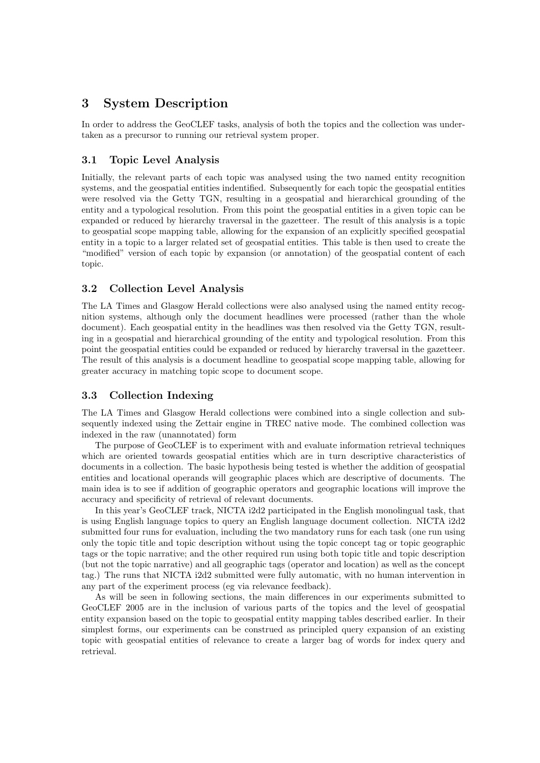# 3 System Description

In order to address the GeoCLEF tasks, analysis of both the topics and the collection was undertaken as a precursor to running our retrieval system proper.

### 3.1 Topic Level Analysis

Initially, the relevant parts of each topic was analysed using the two named entity recognition systems, and the geospatial entities indentified. Subsequently for each topic the geospatial entities were resolved via the Getty TGN, resulting in a geospatial and hierarchical grounding of the entity and a typological resolution. From this point the geospatial entities in a given topic can be expanded or reduced by hierarchy traversal in the gazetteer. The result of this analysis is a topic to geospatial scope mapping table, allowing for the expansion of an explicitly specified geospatial entity in a topic to a larger related set of geospatial entities. This table is then used to create the "modified" version of each topic by expansion (or annotation) of the geospatial content of each topic.

#### 3.2 Collection Level Analysis

The LA Times and Glasgow Herald collections were also analysed using the named entity recognition systems, although only the document headlines were processed (rather than the whole document). Each geospatial entity in the headlines was then resolved via the Getty TGN, resulting in a geospatial and hierarchical grounding of the entity and typological resolution. From this point the geospatial entities could be expanded or reduced by hierarchy traversal in the gazetteer. The result of this analysis is a document headline to geospatial scope mapping table, allowing for greater accuracy in matching topic scope to document scope.

#### 3.3 Collection Indexing

The LA Times and Glasgow Herald collections were combined into a single collection and subsequently indexed using the Zettair engine in TREC native mode. The combined collection was indexed in the raw (unannotated) form

The purpose of GeoCLEF is to experiment with and evaluate information retrieval techniques which are oriented towards geospatial entities which are in turn descriptive characteristics of documents in a collection. The basic hypothesis being tested is whether the addition of geospatial entities and locational operands will geographic places which are descriptive of documents. The main idea is to see if addition of geographic operators and geographic locations will improve the accuracy and specificity of retrieval of relevant documents.

In this year's GeoCLEF track, NICTA i2d2 participated in the English monolingual task, that is using English language topics to query an English language document collection. NICTA i2d2 submitted four runs for evaluation, including the two mandatory runs for each task (one run using only the topic title and topic description without using the topic concept tag or topic geographic tags or the topic narrative; and the other required run using both topic title and topic description (but not the topic narrative) and all geographic tags (operator and location) as well as the concept tag.) The runs that NICTA i2d2 submitted were fully automatic, with no human intervention in any part of the experiment process (eg via relevance feedback).

As will be seen in following sections, the main differences in our experiments submitted to GeoCLEF 2005 are in the inclusion of various parts of the topics and the level of geospatial entity expansion based on the topic to geospatial entity mapping tables described earlier. In their simplest forms, our experiments can be construed as principled query expansion of an existing topic with geospatial entities of relevance to create a larger bag of words for index query and retrieval.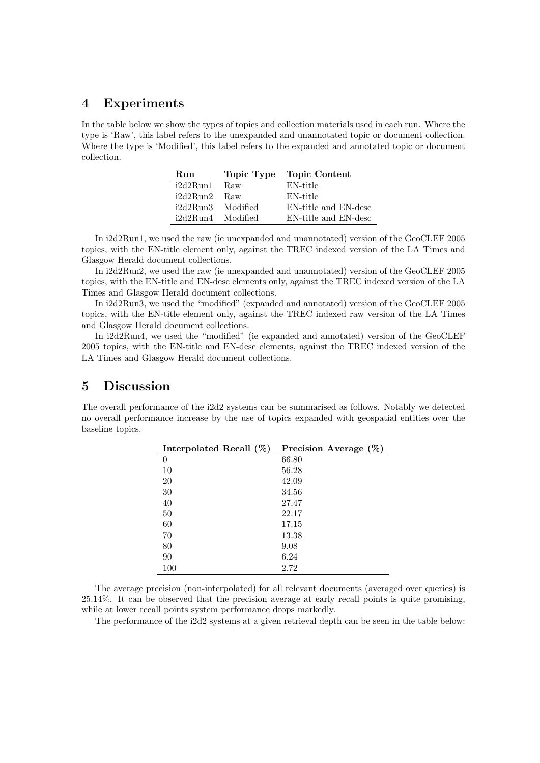## 4 Experiments

In the table below we show the types of topics and collection materials used in each run. Where the type is 'Raw', this label refers to the unexpanded and unannotated topic or document collection. Where the type is 'Modified', this label refers to the expanded and annotated topic or document collection.

| Run               | Topic Type | Topic Content        |
|-------------------|------------|----------------------|
| i2d2Run1          | Raw        | EN-title             |
| i2d2Run2          | <b>Raw</b> | EN-title             |
| i2d2Run3 Modified |            | EN-title and EN-desc |
| i2d2Run4 Modified |            | EN-title and EN-desc |

In i2d2Run1, we used the raw (ie unexpanded and unannotated) version of the GeoCLEF 2005 topics, with the EN-title element only, against the TREC indexed version of the LA Times and Glasgow Herald document collections.

In i2d2Run2, we used the raw (ie unexpanded and unannotated) version of the GeoCLEF 2005 topics, with the EN-title and EN-desc elements only, against the TREC indexed version of the LA Times and Glasgow Herald document collections.

In i2d2Run3, we used the "modified" (expanded and annotated) version of the GeoCLEF 2005 topics, with the EN-title element only, against the TREC indexed raw version of the LA Times and Glasgow Herald document collections.

In i2d2Run4, we used the "modified" (ie expanded and annotated) version of the GeoCLEF 2005 topics, with the EN-title and EN-desc elements, against the TREC indexed version of the LA Times and Glasgow Herald document collections.

## 5 Discussion

The overall performance of the i2d2 systems can be summarised as follows. Notably we detected no overall performance increase by the use of topics expanded with geospatial entities over the baseline topics.

| Interpolated Recall $(\%)$ | Precision Average $(\%)$ |
|----------------------------|--------------------------|
| 0                          | 66.80                    |
| 10                         | 56.28                    |
| 20                         | 42.09                    |
| 30                         | 34.56                    |
| 40                         | 27.47                    |
| 50                         | 22.17                    |
| 60                         | 17.15                    |
| 70                         | 13.38                    |
| 80                         | 9.08                     |
| 90                         | 6.24                     |
| 100                        | 2.72                     |

The average precision (non-interpolated) for all relevant documents (averaged over queries) is 25.14%. It can be observed that the precision average at early recall points is quite promising, while at lower recall points system performance drops markedly.

The performance of the i2d2 systems at a given retrieval depth can be seen in the table below: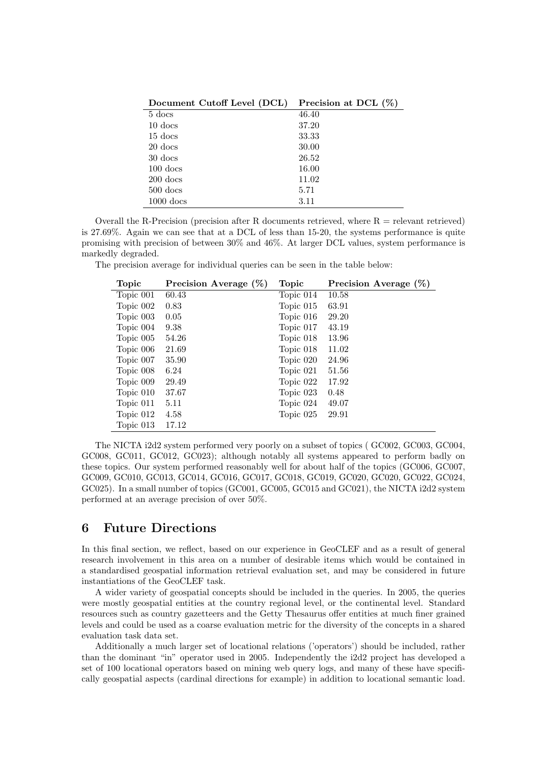| Document Cutoff Level (DCL) | Precision at DCL $(\%)$ |
|-----------------------------|-------------------------|
| $5$ docs                    | 46.40                   |
| $10$ docs                   | 37.20                   |
| $15$ docs                   | 33.33                   |
| 20 docs                     | 30.00                   |
| $30$ docs                   | 26.52                   |
| $100$ docs                  | 16.00                   |
| $200$ docs                  | 11.02                   |
| $500$ docs                  | 5.71                    |
| $1000$ docs                 | 3.11                    |

Overall the R-Precision (precision after R documents retrieved, where  $R =$  relevant retrieved) is 27.69%. Again we can see that at a DCL of less than 15-20, the systems performance is quite promising with precision of between 30% and 46%. At larger DCL values, system performance is markedly degraded.

The precision average for individual queries can be seen in the table below:

| Topic     | Precision Average $(\%)$ | Topic     | Precision Average $(\%)$ |
|-----------|--------------------------|-----------|--------------------------|
| Topic 001 | 60.43                    | Topic 014 | 10.58                    |
| Topic 002 | 0.83                     | Topic 015 | 63.91                    |
| Topic 003 | 0.05                     | Topic 016 | 29.20                    |
| Topic 004 | 9.38                     | Topic 017 | 43.19                    |
| Topic 005 | 54.26                    | Topic 018 | 13.96                    |
| Topic 006 | 21.69                    | Topic 018 | 11.02                    |
| Topic 007 | 35.90                    | Topic 020 | 24.96                    |
| Topic 008 | 6.24                     | Topic 021 | 51.56                    |
| Topic 009 | 29.49                    | Topic 022 | 17.92                    |
| Topic 010 | 37.67                    | Topic 023 | 0.48                     |
| Topic 011 | 5.11                     | Topic 024 | 49.07                    |
| Topic 012 | 4.58                     | Topic 025 | 29.91                    |
| Topic 013 | 17.12                    |           |                          |

The NICTA i2d2 system performed very poorly on a subset of topics ( GC002, GC003, GC004, GC008, GC011, GC012, GC023); although notably all systems appeared to perform badly on these topics. Our system performed reasonably well for about half of the topics (GC006, GC007, GC009, GC010, GC013, GC014, GC016, GC017, GC018, GC019, GC020, GC020, GC022, GC024, GC025). In a small number of topics (GC001, GC005, GC015 and GC021), the NICTA i2d2 system performed at an average precision of over 50%.

## 6 Future Directions

In this final section, we reflect, based on our experience in GeoCLEF and as a result of general research involvement in this area on a number of desirable items which would be contained in a standardised geospatial information retrieval evaluation set, and may be considered in future instantiations of the GeoCLEF task.

A wider variety of geospatial concepts should be included in the queries. In 2005, the queries were mostly geospatial entities at the country regional level, or the continental level. Standard resources such as country gazetteers and the Getty Thesaurus offer entities at much finer grained levels and could be used as a coarse evaluation metric for the diversity of the concepts in a shared evaluation task data set.

Additionally a much larger set of locational relations ('operators') should be included, rather than the dominant "in" operator used in 2005. Independently the i2d2 project has developed a set of 100 locational operators based on mining web query logs, and many of these have specifically geospatial aspects (cardinal directions for example) in addition to locational semantic load.